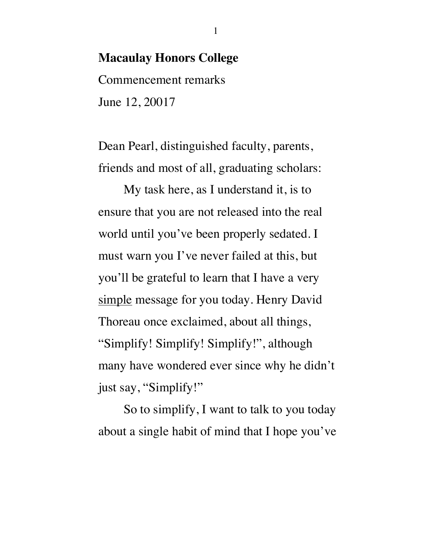## **Macaulay Honors College**

Commencement remarks June 12, 20017

Dean Pearl, distinguished faculty, parents, friends and most of all, graduating scholars:

 My task here, as I understand it, is to ensure that you are not released into the real world until you've been properly sedated. I must warn you I've never failed at this, but you'll be grateful to learn that I have a very simple message for you today. Henry David Thoreau once exclaimed, about all things, "Simplify! Simplify! Simplify!", although many have wondered ever since why he didn't just say, "Simplify!"

 So to simplify, I want to talk to you today about a single habit of mind that I hope you've

1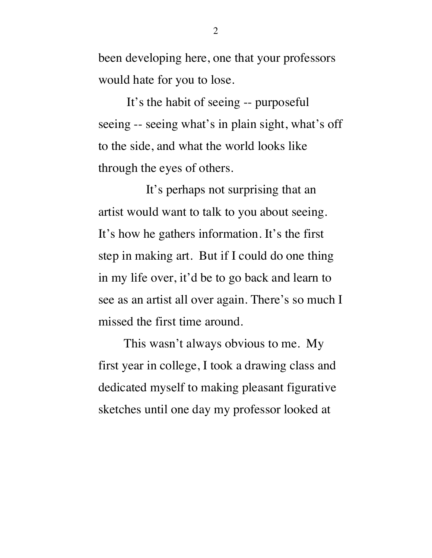been developing here, one that your professors would hate for you to lose.

 It's the habit of seeing -- purposeful seeing -- seeing what's in plain sight, what's off to the side, and what the world looks like through the eyes of others.

 It's perhaps not surprising that an artist would want to talk to you about seeing. It's how he gathers information. It's the first step in making art. But if I could do one thing in my life over, it'd be to go back and learn to see as an artist all over again. There's so much I missed the first time around.

 This wasn't always obvious to me. My first year in college, I took a drawing class and dedicated myself to making pleasant figurative sketches until one day my professor looked at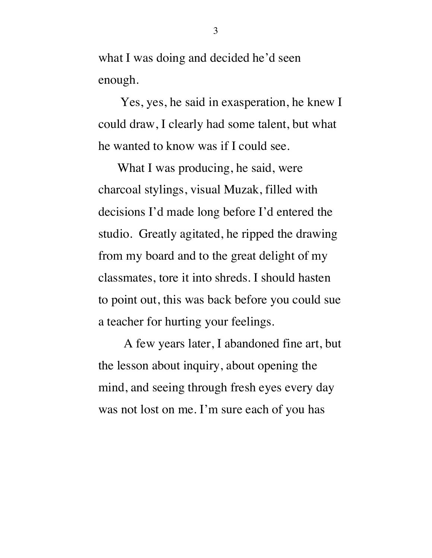what I was doing and decided he'd seen enough.

 Yes, yes, he said in exasperation, he knew I could draw, I clearly had some talent, but what he wanted to know was if I could see.

 What I was producing, he said, were charcoal stylings, visual Muzak, filled with decisions I'd made long before I'd entered the studio. Greatly agitated, he ripped the drawing from my board and to the great delight of my classmates, tore it into shreds. I should hasten to point out, this was back before you could sue a teacher for hurting your feelings.

 A few years later, I abandoned fine art, but the lesson about inquiry, about opening the mind, and seeing through fresh eyes every day was not lost on me. I'm sure each of you has

3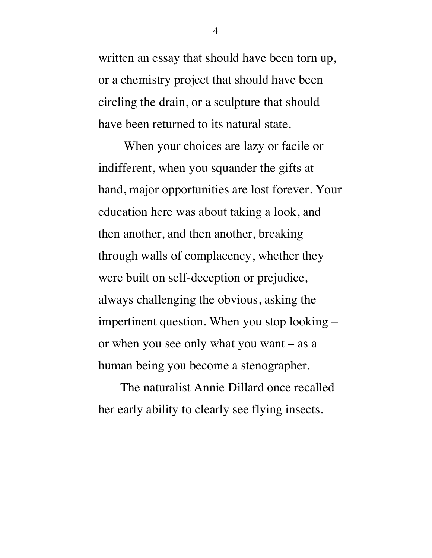written an essay that should have been torn up, or a chemistry project that should have been circling the drain, or a sculpture that should have been returned to its natural state.

 When your choices are lazy or facile or indifferent, when you squander the gifts at hand, major opportunities are lost forever. Your education here was about taking a look, and then another, and then another, breaking through walls of complacency, whether they were built on self-deception or prejudice, always challenging the obvious, asking the impertinent question. When you stop looking – or when you see only what you want – as a human being you become a stenographer.

 The naturalist Annie Dillard once recalled her early ability to clearly see flying insects.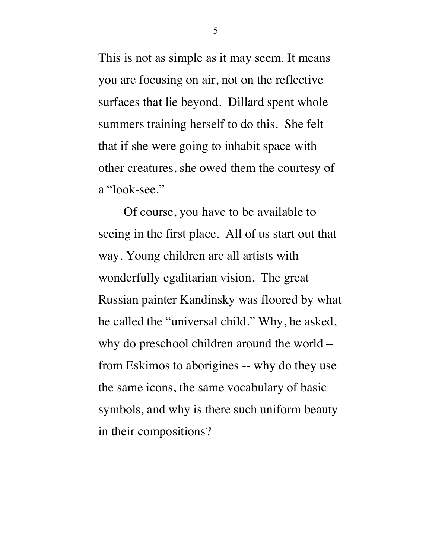This is not as simple as it may seem. It means you are focusing on air, not on the reflective surfaces that lie beyond. Dillard spent whole summers training herself to do this. She felt that if she were going to inhabit space with other creatures, she owed them the courtesy of a "look-see."

 Of course, you have to be available to seeing in the first place. All of us start out that way. Young children are all artists with wonderfully egalitarian vision. The great Russian painter Kandinsky was floored by what he called the "universal child." Why, he asked, why do preschool children around the world – from Eskimos to aborigines -- why do they use the same icons, the same vocabulary of basic symbols, and why is there such uniform beauty in their compositions?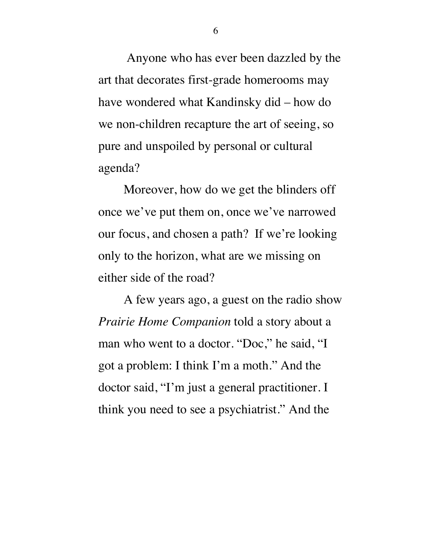Anyone who has ever been dazzled by the art that decorates first-grade homerooms may have wondered what Kandinsky did – how do we non-children recapture the art of seeing, so pure and unspoiled by personal or cultural agenda?

 Moreover, how do we get the blinders off once we've put them on, once we've narrowed our focus, and chosen a path? If we're looking only to the horizon, what are we missing on either side of the road?

 A few years ago, a guest on the radio show *Prairie Home Companion* told a story about a man who went to a doctor. "Doc," he said, "I got a problem: I think I'm a moth." And the doctor said, "I'm just a general practitioner. I think you need to see a psychiatrist." And the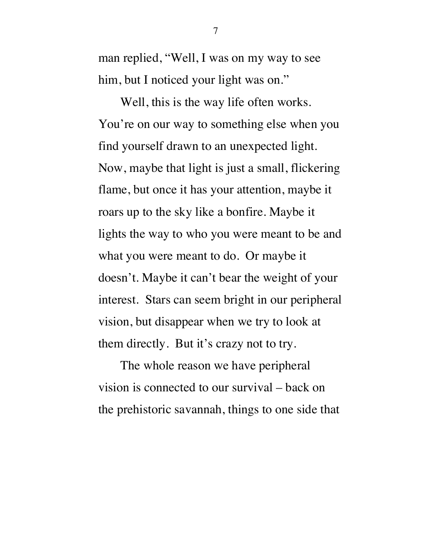man replied, "Well, I was on my way to see him, but I noticed your light was on."

 Well, this is the way life often works. You're on our way to something else when you find yourself drawn to an unexpected light. Now, maybe that light is just a small, flickering flame, but once it has your attention, maybe it roars up to the sky like a bonfire. Maybe it lights the way to who you were meant to be and what you were meant to do. Or maybe it doesn't. Maybe it can't bear the weight of your interest. Stars can seem bright in our peripheral vision, but disappear when we try to look at them directly. But it's crazy not to try.

 The whole reason we have peripheral vision is connected to our survival – back on the prehistoric savannah, things to one side that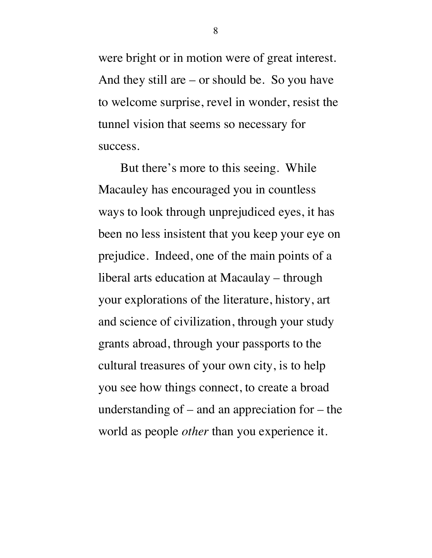were bright or in motion were of great interest. And they still are  $-$  or should be. So you have to welcome surprise, revel in wonder, resist the tunnel vision that seems so necessary for success.

 But there's more to this seeing. While Macauley has encouraged you in countless ways to look through unprejudiced eyes, it has been no less insistent that you keep your eye on prejudice. Indeed, one of the main points of a liberal arts education at Macaulay – through your explorations of the literature, history, art and science of civilization, through your study grants abroad, through your passports to the cultural treasures of your own city, is to help you see how things connect, to create a broad understanding of – and an appreciation for – the world as people *other* than you experience it.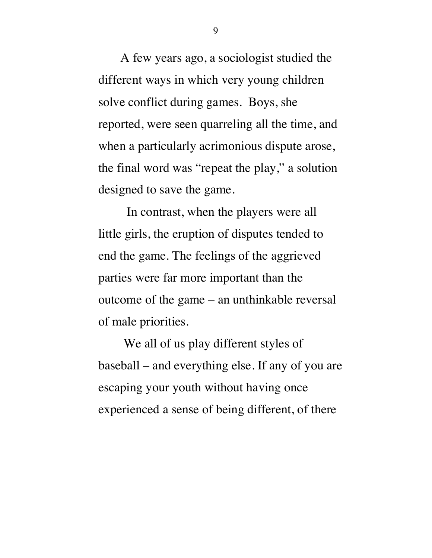A few years ago, a sociologist studied the different ways in which very young children solve conflict during games. Boys, she reported, were seen quarreling all the time, and when a particularly acrimonious dispute arose, the final word was "repeat the play," a solution designed to save the game.

 In contrast, when the players were all little girls, the eruption of disputes tended to end the game. The feelings of the aggrieved parties were far more important than the outcome of the game – an unthinkable reversal of male priorities.

 We all of us play different styles of baseball – and everything else. If any of you are escaping your youth without having once experienced a sense of being different, of there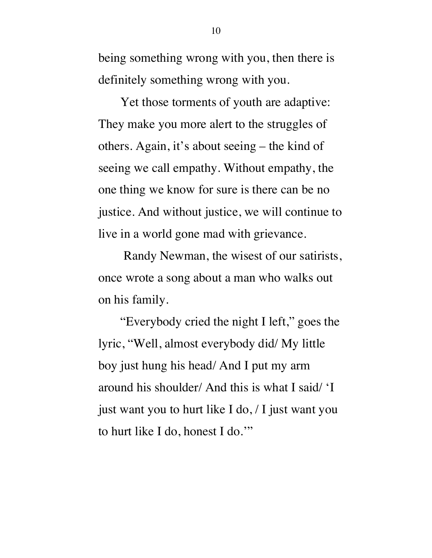being something wrong with you, then there is definitely something wrong with you.

 Yet those torments of youth are adaptive: They make you more alert to the struggles of others. Again, it's about seeing – the kind of seeing we call empathy. Without empathy, the one thing we know for sure is there can be no justice. And without justice, we will continue to live in a world gone mad with grievance.

 Randy Newman, the wisest of our satirists, once wrote a song about a man who walks out on his family.

 "Everybody cried the night I left," goes the lyric, "Well, almost everybody did/ My little boy just hung his head/ And I put my arm around his shoulder/ And this is what I said/ 'I just want you to hurt like I do, / I just want you to hurt like I do, honest I do.'"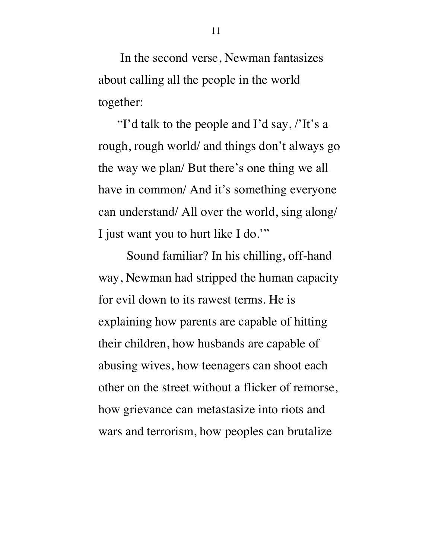In the second verse, Newman fantasizes about calling all the people in the world together:

 "I'd talk to the people and I'd say, /'It's a rough, rough world/ and things don't always go the way we plan/ But there's one thing we all have in common/ And it's something everyone can understand/ All over the world, sing along/ I just want you to hurt like I do.'"

 Sound familiar? In his chilling, off-hand way, Newman had stripped the human capacity for evil down to its rawest terms. He is explaining how parents are capable of hitting their children, how husbands are capable of abusing wives, how teenagers can shoot each other on the street without a flicker of remorse, how grievance can metastasize into riots and wars and terrorism, how peoples can brutalize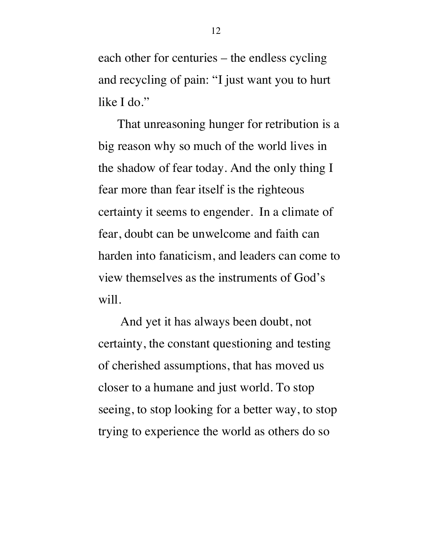each other for centuries – the endless cycling and recycling of pain: "I just want you to hurt like I do."

That unreasoning hunger for retribution is a big reason why so much of the world lives in the shadow of fear today. And the only thing I fear more than fear itself is the righteous certainty it seems to engender. In a climate of fear, doubt can be unwelcome and faith can harden into fanaticism, and leaders can come to view themselves as the instruments of God's will.

 And yet it has always been doubt, not certainty, the constant questioning and testing of cherished assumptions, that has moved us closer to a humane and just world. To stop seeing, to stop looking for a better way, to stop trying to experience the world as others do so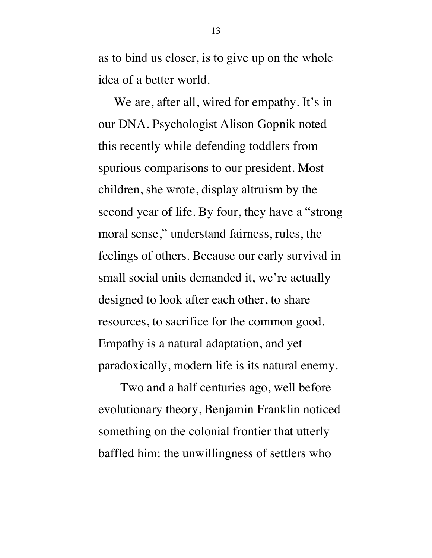as to bind us closer, is to give up on the whole idea of a better world.

We are, after all, wired for empathy. It's in our DNA. Psychologist Alison Gopnik noted this recently while defending toddlers from spurious comparisons to our president. Most children, she wrote, display altruism by the second year of life. By four, they have a "strong moral sense," understand fairness, rules, the feelings of others. Because our early survival in small social units demanded it, we're actually designed to look after each other, to share resources, to sacrifice for the common good. Empathy is a natural adaptation, and yet paradoxically, modern life is its natural enemy.

 Two and a half centuries ago, well before evolutionary theory, Benjamin Franklin noticed something on the colonial frontier that utterly baffled him: the unwillingness of settlers who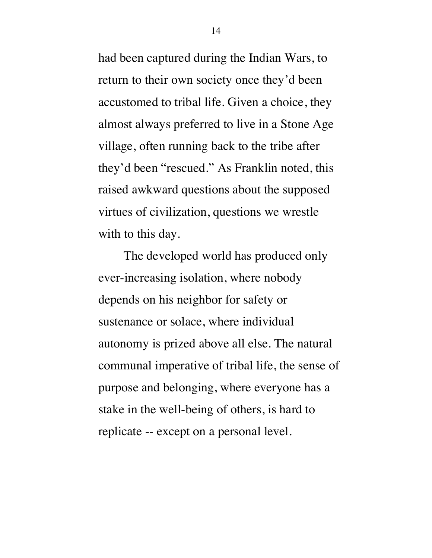had been captured during the Indian Wars, to return to their own society once they'd been accustomed to tribal life. Given a choice, they almost always preferred to live in a Stone Age village, often running back to the tribe after they'd been "rescued." As Franklin noted, this raised awkward questions about the supposed virtues of civilization, questions we wrestle with to this day.

 The developed world has produced only ever-increasing isolation, where nobody depends on his neighbor for safety or sustenance or solace, where individual autonomy is prized above all else. The natural communal imperative of tribal life, the sense of purpose and belonging, where everyone has a stake in the well-being of others, is hard to replicate -- except on a personal level.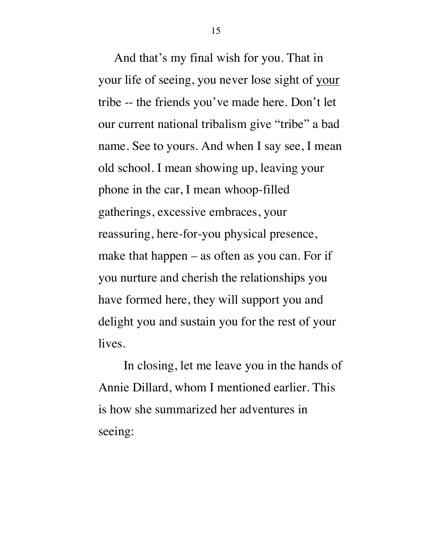And that's my final wish for you. That in your life of seeing, you never lose sight of your tribe -- the friends you've made here. Don't let our current national tribalism give "tribe" a bad name. See to yours. And when I say see, I mean old school. I mean showing up, leaving your phone in the car, I mean whoop-filled gatherings, excessive embraces, your reassuring, here-for-you physical presence, make that happen – as often as you can. For if you nurture and cherish the relationships you have formed here, they will support you and delight you and sustain you for the rest of your lives.

 In closing, let me leave you in the hands of Annie Dillard, whom I mentioned earlier. This is how she summarized her adventures in seeing: